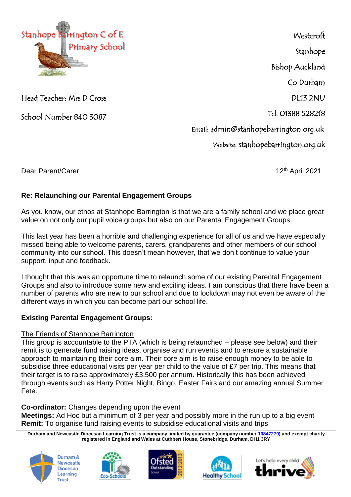

Head Teacher: Mrs D Cross

School Number 840 3087

**Westcroft** Stanhope Bishop Auckland Co Durham DL13 2NU Tel: 01388 528218 Email: admin@stanhopebarrington.org.uk Website: stanhopebarrington.org.uk

Dear Parent/Carer 12th April 2021

# **Re: Relaunching our Parental Engagement Groups**

As you know, our ethos at Stanhope Barrington is that we are a family school and we place great value on not only our pupil voice groups but also on our Parental Engagement Groups.

This last year has been a horrible and challenging experience for all of us and we have especially missed being able to welcome parents, carers, grandparents and other members of our school community into our school. This doesn't mean however, that we don't continue to value your support, input and feedback.

I thought that this was an opportune time to relaunch some of our existing Parental Engagement Groups and also to introduce some new and exciting ideas. I am conscious that there have been a number of parents who are new to our school and due to lockdown may not even be aware of the different ways in which you can become part our school life.

## **Existing Parental Engagement Groups:**

## The Friends of Stanhope Barrington

This group is accountable to the PTA (which is being relaunched – please see below) and their remit is to generate fund raising ideas, organise and run events and to ensure a sustainable approach to maintaining their core aim. Their core aim is to raise enough money to be able to subsidise three educational visits per year per child to the value of £7 per trip. This means that their target is to raise approximately £3,500 per annum. Historically this has been achieved through events such as Harry Potter Night, Bingo, Easter Fairs and our amazing annual Summer Fete.

# **Co-ordinator:** Changes depending upon the event

**Meetings:** Ad Hoc but a minimum of 3 per year and possibly more in the run up to a big event **Remit:** To organise fund raising events to subsidise educational visits and trips

**Durham and Newcastle Diocesan Learning Trust is a company limited by guarantee (company number [10847279\)](tel:10847279) and exempt charity registered in England and Wales at Cuthbert House, Stonebridge, Durham, DH1 3RY**









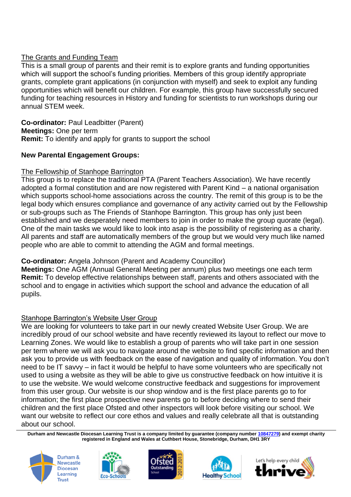## The Grants and Funding Team

This is a small group of parents and their remit is to explore grants and funding opportunities which will support the school's funding priorities. Members of this group identify appropriate grants, complete grant applications (in conjunction with myself) and seek to exploit any funding opportunities which will benefit our children. For example, this group have successfully secured funding for teaching resources in History and funding for scientists to run workshops during our annual STEM week.

**Co-ordinator:** Paul Leadbitter (Parent) **Meetings:** One per term **Remit:** To identify and apply for grants to support the school

### **New Parental Engagement Groups:**

### The Fellowship of Stanhope Barrington

This group is to replace the traditional PTA (Parent Teachers Association). We have recently adopted a formal constitution and are now registered with Parent Kind – a national organisation which supports school-home associations across the country. The remit of this group is to be the legal body which ensures compliance and governance of any activity carried out by the Fellowship or sub-groups such as The Friends of Stanhope Barrington. This group has only just been established and we desperately need members to join in order to make the group quorate (legal). One of the main tasks we would like to look into asap is the possibility of registering as a charity. All parents and staff are automatically members of the group but we would very much like named people who are able to commit to attending the AGM and formal meetings.

## **Co-ordinator:** Angela Johnson (Parent and Academy Councillor)

**Meetings:** One AGM (Annual General Meeting per annum) plus two meetings one each term **Remit:** To develop effective relationships between staff, parents and others associated with the school and to engage in activities which support the school and advance the education of all pupils.

### Stanhope Barrington's Website User Group

We are looking for volunteers to take part in our newly created Website User Group. We are incredibly proud of our school website and have recently reviewed its layout to reflect our move to Learning Zones. We would like to establish a group of parents who will take part in one session per term where we will ask you to navigate around the website to find specific information and then ask you to provide us with feedback on the ease of navigation and quality of information. You don't need to be IT savvy – in fact it would be helpful to have some volunteers who are specifically not used to using a website as they will be able to give us constructive feedback on how intuitive it is to use the website. We would welcome constructive feedback and suggestions for improvement from this user group. Our website is our shop window and is the first place parents go to for information; the first place prospective new parents go to before deciding where to send their children and the first place Ofsted and other inspectors will look before visiting our school. We want our website to reflect our core ethos and values and really celebrate all that is outstanding about our school.

**Durham and Newcastle Diocesan Learning Trust is a company limited by guarantee (company number [10847279\)](tel:10847279) and exempt charity registered in England and Wales at Cuthbert House, Stonebridge, Durham, DH1 3RY**